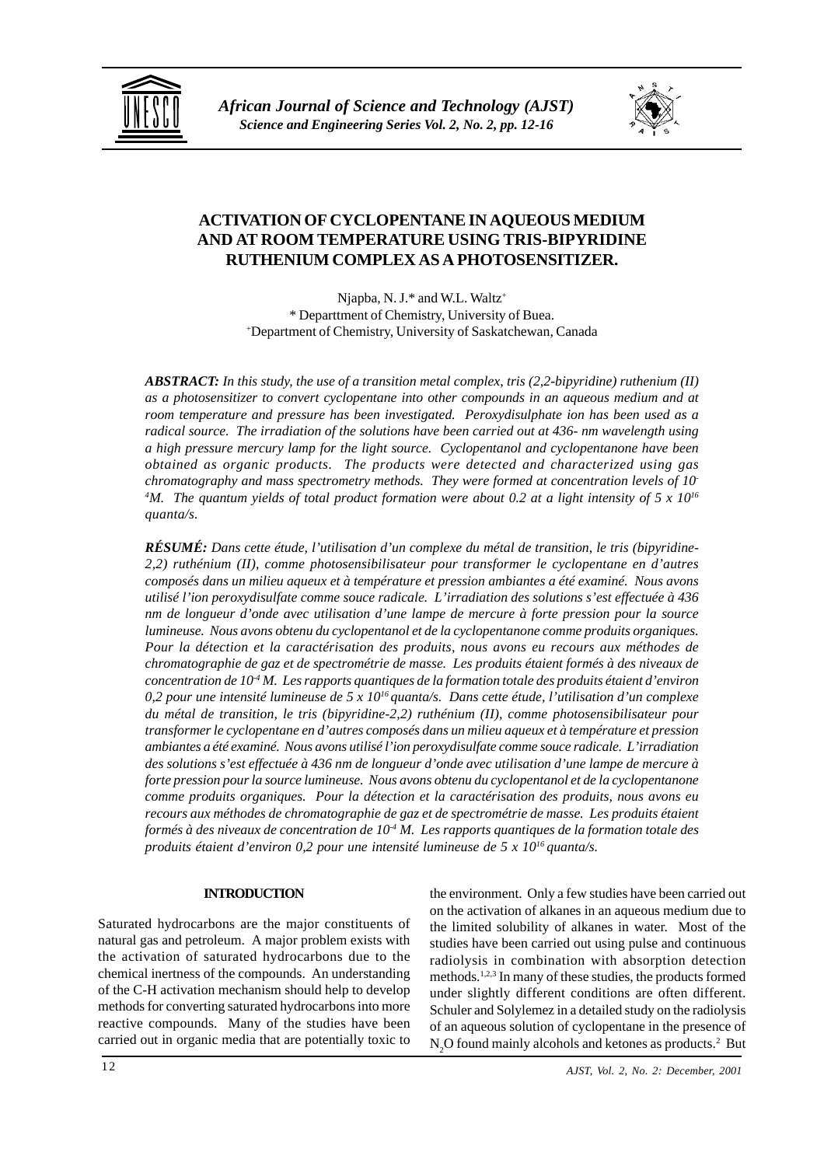



# **ACTIVATION OF CYCLOPENTANE IN AQUEOUS MEDIUM AND AT ROOM TEMPERATURE USING TRIS-BIPYRIDINE RUTHENIUM COMPLEX AS A PHOTOSENSITIZER.**

Njapba, N. J.\* and W.L. Waltz<sup>+</sup> \* Departtment of Chemistry, University of Buea. + Department of Chemistry, University of Saskatchewan, Canada

*ABSTRACT: In this study, the use of a transition metal complex, tris (2,2-bipyridine) ruthenium (II) as a photosensitizer to convert cyclopentane into other compounds in an aqueous medium and at room temperature and pressure has been investigated. Peroxydisulphate ion has been used as a radical source. The irradiation of the solutions have been carried out at 436- nm wavelength using a high pressure mercury lamp for the light source. Cyclopentanol and cyclopentanone have been obtained as organic products. The products were detected and characterized using gas chromatography and mass spectrometry methods. They were formed at concentration levels of 10- 4 M. The quantum yields of total product formation were about 0.2 at a light intensity of 5 x 1016 quanta/s.*

*RÉSUMÉ: Dans cette étude, l'utilisation d'un complexe du métal de transition, le tris (bipyridine-2,2) ruthénium (II), comme photosensibilisateur pour transformer le cyclopentane en d'autres composés dans un milieu aqueux et à température et pression ambiantes a été examiné. Nous avons utilisé l'ion peroxydisulfate comme souce radicale. L'irradiation des solutions s'est effectuée à 436 nm de longueur d'onde avec utilisation d'une lampe de mercure à forte pression pour la source lumineuse. Nous avons obtenu du cyclopentanol et de la cyclopentanone comme produits organiques. Pour la détection et la caractérisation des produits, nous avons eu recours aux méthodes de chromatographie de gaz et de spectrométrie de masse. Les produits étaient formés à des niveaux de concentration de 10-4 M. Les rapports quantiques de la formation totale des produits étaient d'environ 0,2 pour une intensité lumineuse de 5 x 1016 quanta/s. Dans cette étude, l'utilisation d'un complexe du métal de transition, le tris (bipyridine-2,2) ruthénium (II), comme photosensibilisateur pour transformer le cyclopentane en d'autres composés dans un milieu aqueux et à température et pression ambiantes a été examiné. Nous avons utilisé l'ion peroxydisulfate comme souce radicale. L'irradiation des solutions s'est effectuée à 436 nm de longueur d'onde avec utilisation d'une lampe de mercure à forte pression pour la source lumineuse. Nous avons obtenu du cyclopentanol et de la cyclopentanone comme produits organiques. Pour la détection et la caractérisation des produits, nous avons eu recours aux méthodes de chromatographie de gaz et de spectrométrie de masse. Les produits étaient formés à des niveaux de concentration de 10-4 M. Les rapports quantiques de la formation totale des produits étaient d'environ 0,2 pour une intensité lumineuse de 5 x 1016 quanta/s.*

## **INTRODUCTION**

Saturated hydrocarbons are the major constituents of natural gas and petroleum. A major problem exists with the activation of saturated hydrocarbons due to the chemical inertness of the compounds. An understanding of the C-H activation mechanism should help to develop methods for converting saturated hydrocarbons into more reactive compounds. Many of the studies have been carried out in organic media that are potentially toxic to the environment. Only a few studies have been carried out on the activation of alkanes in an aqueous medium due to the limited solubility of alkanes in water. Most of the studies have been carried out using pulse and continuous radiolysis in combination with absorption detection methods.1,2,3 In many of these studies, the products formed under slightly different conditions are often different. Schuler and Solylemez in a detailed study on the radiolysis of an aqueous solution of cyclopentane in the presence of  $N_2O$  found mainly alcohols and ketones as products.<sup>2</sup> But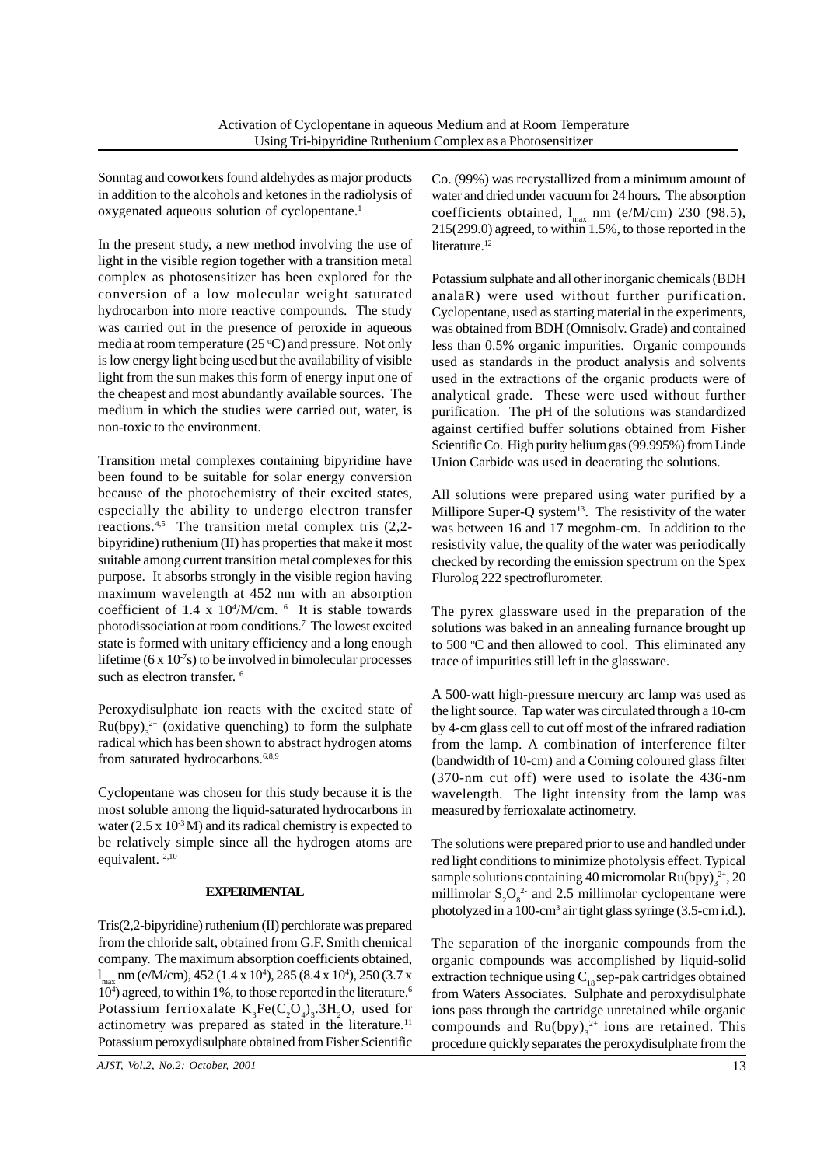Sonntag and coworkers found aldehydes as major products in addition to the alcohols and ketones in the radiolysis of oxygenated aqueous solution of cyclopentane.<sup>1</sup>

In the present study, a new method involving the use of light in the visible region together with a transition metal complex as photosensitizer has been explored for the conversion of a low molecular weight saturated hydrocarbon into more reactive compounds. The study was carried out in the presence of peroxide in aqueous media at room temperature  $(25 °C)$  and pressure. Not only is low energy light being used but the availability of visible light from the sun makes this form of energy input one of the cheapest and most abundantly available sources. The medium in which the studies were carried out, water, is non-toxic to the environment.

Transition metal complexes containing bipyridine have been found to be suitable for solar energy conversion because of the photochemistry of their excited states, especially the ability to undergo electron transfer reactions.<sup>4,5</sup> The transition metal complex tris (2,2bipyridine) ruthenium (II) has properties that make it most suitable among current transition metal complexes for this purpose. It absorbs strongly in the visible region having maximum wavelength at 452 nm with an absorption coefficient of  $1.4 \times 10^{4}/M/cm$ .  $^{6}$  It is stable towards photodissociation at room conditions.7 The lowest excited state is formed with unitary efficiency and a long enough lifetime (6 x  $10<sup>7</sup>s$ ) to be involved in bimolecular processes such as electron transfer.<sup>6</sup>

Peroxydisulphate ion reacts with the excited state of  $Ru(bpy)_{3}^{2+}$  (oxidative quenching) to form the sulphate radical which has been shown to abstract hydrogen atoms from saturated hydrocarbons.<sup>6,8,9</sup>

Cyclopentane was chosen for this study because it is the most soluble among the liquid-saturated hydrocarbons in water ( $2.5 \times 10^{-3}$ M) and its radical chemistry is expected to be relatively simple since all the hydrogen atoms are equivalent. 2,10

## **EXPERIMENTAL**

Tris(2,2-bipyridine) ruthenium (II) perchlorate was prepared from the chloride salt, obtained from G.F. Smith chemical company. The maximum absorption coefficients obtained,  $l_{\text{max}}$  nm (e/M/cm), 452 (1.4 x 10<sup>4</sup>), 285 (8.4 x 10<sup>4</sup>), 250 (3.7 x 10<sup>4</sup>) agreed, to within 1%, to those reported in the literature.<sup>6</sup> Potassium ferrioxalate  $K_3Fe(C_2O_4)_3.3H_2O$ , used for actinometry was prepared as stated in the literature.<sup>11</sup> Potassium peroxydisulphate obtained from Fisher Scientific

*AJST, Vol.2, No.2: October, 2001*

Co. (99%) was recrystallized from a minimum amount of water and dried under vacuum for 24 hours. The absorption coefficients obtained,  $l_{\text{max}}$  nm (e/M/cm) 230 (98.5), 215(299.0) agreed, to within 1.5%, to those reported in the literature.<sup>12</sup>

Potassium sulphate and all other inorganic chemicals (BDH analaR) were used without further purification. Cyclopentane, used as starting material in the experiments, was obtained from BDH (Omnisolv. Grade) and contained less than 0.5% organic impurities. Organic compounds used as standards in the product analysis and solvents used in the extractions of the organic products were of analytical grade. These were used without further purification. The pH of the solutions was standardized against certified buffer solutions obtained from Fisher Scientific Co. High purity helium gas (99.995%) from Linde Union Carbide was used in deaerating the solutions.

All solutions were prepared using water purified by a Millipore Super-Q system $^{13}$ . The resistivity of the water was between 16 and 17 megohm-cm. In addition to the resistivity value, the quality of the water was periodically checked by recording the emission spectrum on the Spex Flurolog 222 spectroflurometer.

The pyrex glassware used in the preparation of the solutions was baked in an annealing furnance brought up to 500 °C and then allowed to cool. This eliminated any trace of impurities still left in the glassware.

A 500-watt high-pressure mercury arc lamp was used as the light source. Tap water was circulated through a 10-cm by 4-cm glass cell to cut off most of the infrared radiation from the lamp. A combination of interference filter (bandwidth of 10-cm) and a Corning coloured glass filter (370-nm cut off) were used to isolate the 436-nm wavelength. The light intensity from the lamp was measured by ferrioxalate actinometry.

The solutions were prepared prior to use and handled under red light conditions to minimize photolysis effect. Typical sample solutions containing 40 micromolar  $Ru(bpy)_{3}^{2+}$ , 20 millimolar  $S_2O_8^2$  and 2.5 millimolar cyclopentane were photolyzed in a 100-cm<sup>3</sup> air tight glass syringe (3.5-cm i.d.).

The separation of the inorganic compounds from the organic compounds was accomplished by liquid-solid extraction technique using  $C_{18}$  sep-pak cartridges obtained from Waters Associates. Sulphate and peroxydisulphate ions pass through the cartridge unretained while organic compounds and  $Ru(bpy)_{3}^{2+}$  ions are retained. This procedure quickly separates the peroxydisulphate from the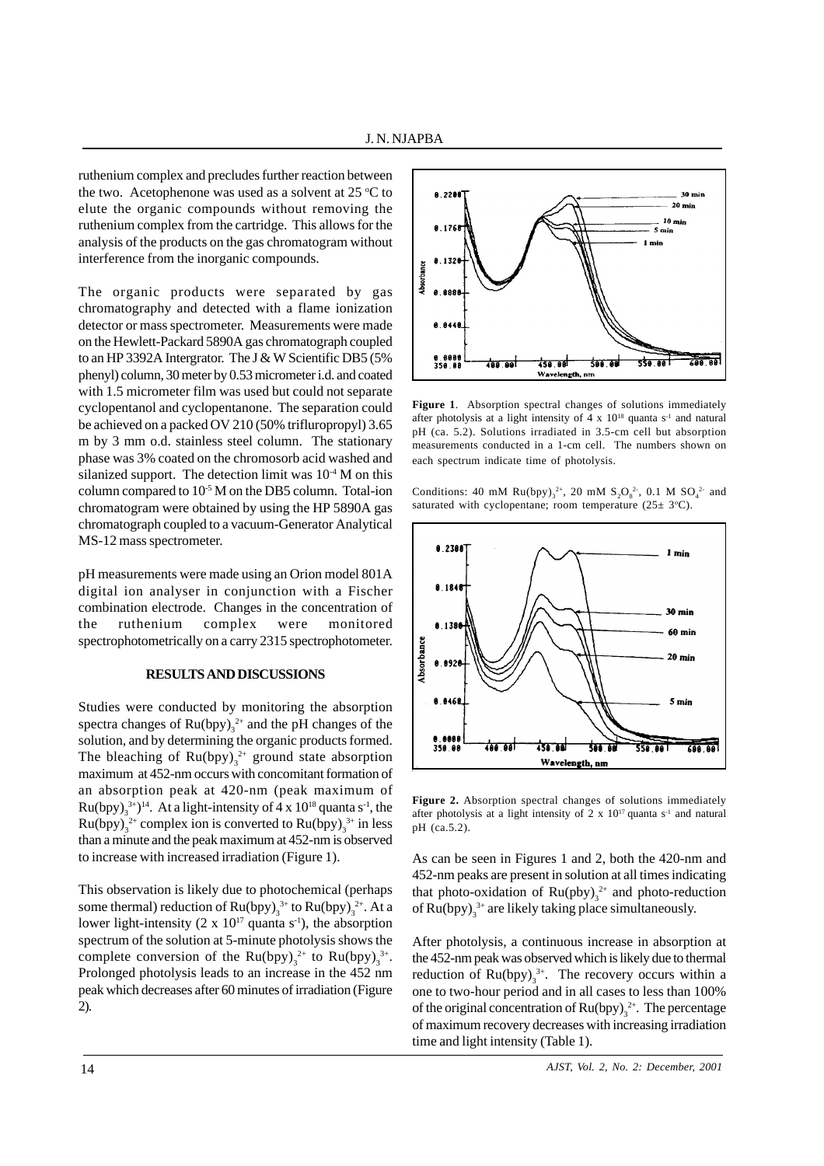ruthenium complex and precludes further reaction between the two. Acetophenone was used as a solvent at  $25^{\circ}$ C to elute the organic compounds without removing the ruthenium complex from the cartridge. This allows for the analysis of the products on the gas chromatogram without interference from the inorganic compounds.

The organic products were separated by gas chromatography and detected with a flame ionization detector or mass spectrometer. Measurements were made on the Hewlett-Packard 5890A gas chromatograph coupled to an HP 3392A Intergrator. The J & W Scientific DB5 (5% phenyl) column, 30 meter by 0.53 micrometer i.d. and coated with 1.5 micrometer film was used but could not separate cyclopentanol and cyclopentanone. The separation could be achieved on a packed OV 210 (50% trifluropropyl) 3.65 m by 3 mm o.d. stainless steel column. The stationary phase was 3% coated on the chromosorb acid washed and silanized support. The detection limit was  $10^{-4}$  M on this column compared to  $10^{-5}$  M on the DB5 column. Total-ion chromatogram were obtained by using the HP 5890A gas chromatograph coupled to a vacuum-Generator Analytical MS-12 mass spectrometer.

pH measurements were made using an Orion model 801A digital ion analyser in conjunction with a Fischer combination electrode. Changes in the concentration of the ruthenium complex were monitored spectrophotometrically on a carry 2315 spectrophotometer.

# **RESULTS AND DISCUSSIONS**

Studies were conducted by monitoring the absorption spectra changes of  $Ru(bpy)_{3}^{2+}$  and the pH changes of the solution, and by determining the organic products formed. The bleaching of  $Ru(bpy)_{3}^{2+}$  ground state absorption maximum at 452-nm occurs with concomitant formation of an absorption peak at 420-nm (peak maximum of Ru(bpy)<sub>3</sub><sup>3+</sup>)<sup>14</sup>. At a light-intensity of 4 x 10<sup>18</sup> quanta s<sup>-1</sup>, the  $Ru(bpy)_{3}^{2+}$  complex ion is converted to  $Ru(bpy)_{3}^{3+}$  in less than a minute and the peak maximum at 452-nm is observed to increase with increased irradiation (Figure 1).

This observation is likely due to photochemical (perhaps some thermal) reduction of  $Ru(bpy)_{3}^{3+}$  to  $Ru(bpy)_{3}^{2+}$ . At a lower light-intensity (2 x  $10^{17}$  quanta s<sup>-1</sup>), the absorption spectrum of the solution at 5-minute photolysis shows the complete conversion of the  $Ru(bpy)_{3}^{2+}$  to  $Ru(bpy)_{3}^{3+}$ . Prolonged photolysis leads to an increase in the 452 nm peak which decreases after 60 minutes of irradiation (Figure 2).



**Figure 1**. Absorption spectral changes of solutions immediately after photolysis at a light intensity of  $4 \times 10^{18}$  quanta s<sup>-1</sup> and natural pH (ca. 5.2). Solutions irradiated in 3.5-cm cell but absorption measurements conducted in a 1-cm cell. The numbers shown on each spectrum indicate time of photolysis.

Conditions: 40 mM  $Ru(bpy)_{3}^{2+}$ , 20 mM  $S_{2}O_{8}^{2-}$ , 0.1 M  $SO_{4}^{2-}$  and saturated with cyclopentane; room temperature  $(25 \pm 3^{\circ}C)$ .



**Figure 2.** Absorption spectral changes of solutions immediately after photolysis at a light intensity of 2 x  $10^{17}$  quanta s<sup>-1</sup> and natural pH (ca.5.2).

As can be seen in Figures 1 and 2, both the 420-nm and 452-nm peaks are present in solution at all times indicating that photo-oxidation of  $Ru(\text{pby})_3^{2+}$  and photo-reduction of  $Ru(bpy)_{3}^{3+}$  are likely taking place simultaneously.

After photolysis, a continuous increase in absorption at the 452-nm peak was observed which is likely due to thermal reduction of  $Ru(bpy)_{3}^{3+}$ . The recovery occurs within a one to two-hour period and in all cases to less than 100% of the original concentration of  $Ru(bpy)_{3}^{2+}$ . The percentage of maximum recovery decreases with increasing irradiation time and light intensity (Table 1).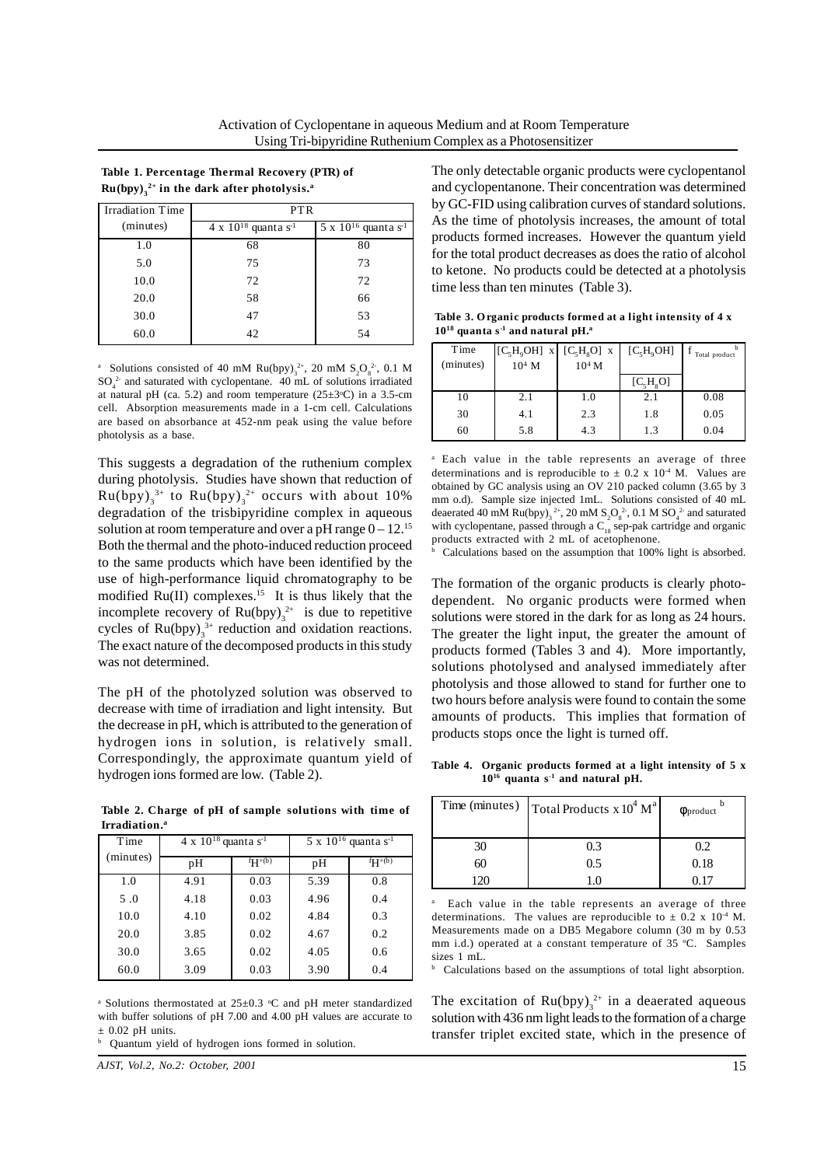**Table 1. Percentage Thermal Recovery (PTR) of**   $Ru(bpy)_{3}^{2+}$  in the dark after photolysis.<sup>a</sup>

| Irradiation Time | <b>PTR</b>                                |                                           |  |
|------------------|-------------------------------------------|-------------------------------------------|--|
| (minutes)        | $4 \times 10^{18}$ quanta s <sup>-1</sup> | $5 \times 10^{16}$ quanta s <sup>-1</sup> |  |
| 1.0              | 68                                        | 80                                        |  |
| 5.0              | 75                                        | 73                                        |  |
| 10.0             | 72                                        | 72                                        |  |
| 20.0             | 58                                        | 66                                        |  |
| 30.0             | 47                                        | 53                                        |  |
| 60.0             | 42                                        | 54                                        |  |

<sup>a</sup> Solutions consisted of 40 mM Ru(bpy)<sub>3</sub><sup>2+</sup>, 20 mM S<sub>2</sub>O<sub>8</sub><sup>2-</sup>, 0.1 M  $SO_4^2$  and saturated with cyclopentane. 40 mL of solutions irradiated at natural pH (ca. 5.2) and room temperature  $(25\pm3^{\circ}C)$  in a 3.5-cm cell. Absorption measurements made in a 1-cm cell. Calculations are based on absorbance at 452-nm peak using the value before photolysis as a base.

This suggests a degradation of the ruthenium complex during photolysis. Studies have shown that reduction of  $Ru(bpy)_{3}^{3+}$  to  $Ru(bpy)_{3}^{2+}$  occurs with about 10% degradation of the trisbipyridine complex in aqueous solution at room temperature and over a pH range  $0 - 12$ .<sup>15</sup> Both the thermal and the photo-induced reduction proceed to the same products which have been identified by the use of high-performance liquid chromatography to be modified Ru(II) complexes.<sup>15</sup> It is thus likely that the incomplete recovery of  $Ru(bpy)_{3}^{2+}$  is due to repetitive cycles of  $Ru(bpy)_{3}^{3+}$  reduction and oxidation reactions. The exact nature of the decomposed products in this study was not determined.

The pH of the photolyzed solution was observed to decrease with time of irradiation and light intensity. But the decrease in pH, which is attributed to the generation of hydrogen ions in solution, is relatively small. Correspondingly, the approximate quantum yield of hydrogen ions formed are low. (Table 2).

**Table 2. Charge of pH of sample solutions with time of Irradiation.a**

| Time      | $4 \times 10^{18}$ quanta s <sup>-1</sup> |          | $5 \times 10^{16}$ quanta s <sup>-1</sup> |          |
|-----------|-------------------------------------------|----------|-------------------------------------------|----------|
| (minutes) | pH                                        | $fH+(b)$ | pH                                        | $fH+(b)$ |
| 1.0       | 4.91                                      | 0.03     | 5.39                                      | 0.8      |
| 5.0       | 4.18                                      | 0.03     | 4.96                                      | 0.4      |
| 10.0      | 4.10                                      | 0.02     | 4.84                                      | 0.3      |
| 20.0      | 3.85                                      | 0.02     | 4.67                                      | 0.2      |
| 30.0      | 3.65                                      | 0.02     | 4.05                                      | 0.6      |
| 60.0      | 3.09                                      | 0.03     | 3.90                                      | 0.4      |

<sup>a</sup> Solutions thermostated at  $25\pm0.3$  °C and pH meter standardized with buffer solutions of pH 7.00 and 4.00 pH values are accurate to  $+0.02$  pH units.

b Quantum yield of hydrogen ions formed in solution.

*AJST, Vol.2, No.2: October, 2001*

The only detectable organic products were cyclopentanol and cyclopentanone. Their concentration was determined by GC-FID using calibration curves of standard solutions. As the time of photolysis increases, the amount of total products formed increases. However the quantum yield for the total product decreases as does the ratio of alcohol to ketone. No products could be detected at a photolysis time less than ten minutes (Table 3).

**Table 3. O rganic products formed at a light intensity of 4 x 1018 quanta s-1 and natural pH.a**

| Time      | $[C_5H_9OH]$ x $[C_5H_8O]$ x |          | $[C_5H_9OH]$            | h<br>Total product |
|-----------|------------------------------|----------|-------------------------|--------------------|
| (minutes) | $10^4$ M                     | $10^4$ M |                         |                    |
|           |                              |          | $[C_{\rm s}H_{\rm s}O]$ |                    |
| 10        | 2.1                          | 1.0      | 2.1                     | 0.08               |
| 30        | 4.1                          | 2.3      | 1.8                     | 0.05               |
| 60        | 5.8                          | 4.3      | 1.3                     | 0.04               |

<sup>a</sup> Each value in the table represents an average of three determinations and is reproducible to  $\pm$  0.2 x 10<sup>-4</sup> M. Values are obtained by GC analysis using an OV 210 packed column (3.65 by 3 mm o.d). Sample size injected 1mL. Solutions consisted of 40 mL deaerated 40 mM Ru(bpy)<sub>3</sub><sup>2+</sup>, 20 mM S<sub>2</sub>O<sub>8</sub><sup>2</sup>, 0.1 M SO<sub>4</sub><sup>2</sup> and saturated with cyclopentane, passed through a  $C_{18}$  sep-pak cartridge and organic products extracted with 2 mL of acetophenone.

b Calculations based on the assumption that 100% light is absorbed.

The formation of the organic products is clearly photodependent. No organic products were formed when solutions were stored in the dark for as long as 24 hours. The greater the light input, the greater the amount of products formed (Tables 3 and 4). More importantly, solutions photolysed and analysed immediately after photolysis and those allowed to stand for further one to two hours before analysis were found to contain the some amounts of products. This implies that formation of products stops once the light is turned off.

**Table 4. Organic products formed at a light intensity of 5 x 1016 quanta s-1 and natural pH.**

|    | Time (minutes) $\left  \right $ Total Products x 10 <sup>4</sup> M <sup>a</sup> | $\Phi$ product |
|----|---------------------------------------------------------------------------------|----------------|
| 30 | 0.3                                                                             | 0.2            |
| 60 | 0.5                                                                             | 0.18           |
|    |                                                                                 |                |

a Each value in the table represents an average of three determinations. The values are reproducible to  $\pm$  0.2 x 10<sup>-4</sup> M. Measurements made on a DB5 Megabore column (30 m by 0.53 mm i.d.) operated at a constant temperature of 35 °C. Samples sizes 1 mL.

b Calculations based on the assumptions of total light absorption.

The excitation of  $Ru(bpy)_{3}^{2+}$  in a deaerated aqueous solution with 436 nm light leads to the formation of a charge transfer triplet excited state, which in the presence of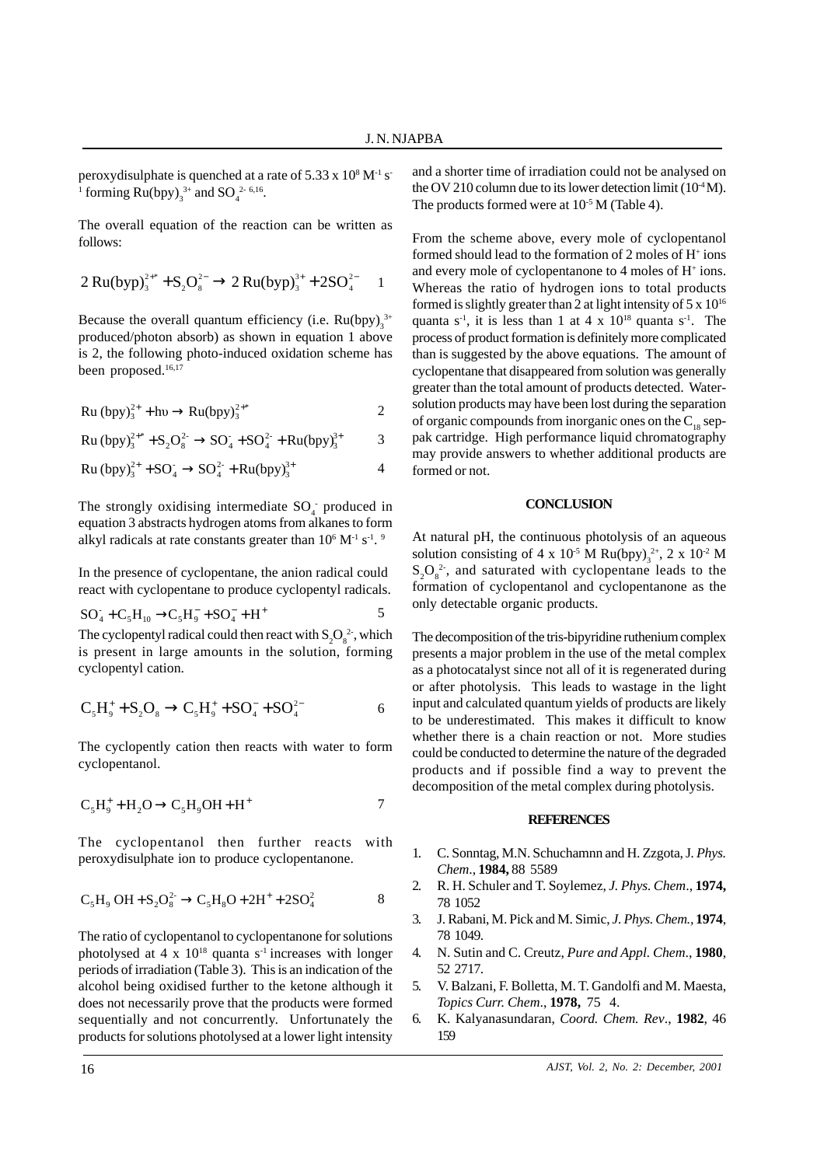peroxydisulphate is quenched at a rate of  $5.33 \times 10^8$  M<sup>-1</sup> s<sup>-1</sup> <sup>1</sup> forming  $Ru(bpy)_{3}^{3+}$  and  $SO_{4}^{2-6,16}$ .

The overall equation of the reaction can be written as follows:

$$
2\,Ru(byp)_{3}^{2+*} + S_{2}O_{8}^{2-} \rightarrow 2\,Ru(byp)_{3}^{3+} + 2SO_{4}^{2-} \quad 1
$$

Because the overall quantum efficiency (i.e.  $Ru(bpy)_{3}^{3+}$ produced/photon absorb) as shown in equation 1 above is 2, the following photo-induced oxidation scheme has been proposed.<sup>16,17</sup>

$$
Ru (bpy)32+ + hv \rightarrow Ru(bpy)32*
$$

$$
Ru (bpy)_3^{2^{++}} + S_2O_8^{2^-} \rightarrow SO_4^- + SO_4^{2^-} + Ru(bpy)_3^{3^+}
$$
 3

 $Ru (bpy)_{3}^{2+} + SO_{4}^{-} \rightarrow SO_{4}^{2-} + Ru (bpy)_{3}^{3+}$  4

The strongly oxidising intermediate  $SO<sub>4</sub>$  produced in equation 3 abstracts hydrogen atoms from alkanes to form alkyl radicals at rate constants greater than  $10^6$  M<sup>-1</sup> s<sup>-1</sup>. <sup>9</sup>

In the presence of cyclopentane, the anion radical could react with cyclopentane to produce cyclopentyl radicals.

$$
SO_4 + C_5H_{10} \rightarrow C_5H_9 + SO_4 + H^+ \qquad 5
$$

The cyclopentyl radical could then react with  $S_2O_8^2$ , which is present in large amounts in the solution, forming cyclopentyl cation.

$$
C_{5}H_{9}^{+}+S_{2}O_{8} \rightarrow C_{5}H_{9}^{+}+SO_{4}^{-}+SO_{4}^{2-} \hspace{1.5cm} 6
$$

The cyclopently cation then reacts with water to form cyclopentanol.

$$
C_5H_9^+ + H_2O \rightarrow C_5H_9OH + H^+ \tag{7}
$$

The cyclopentanol then further reacts with peroxydisulphate ion to produce cyclopentanone.

$$
C_5H_9 OH + S_2O_8^{2-} \rightarrow C_5H_8O + 2H^+ + 2SO_4^2
$$
 8

The ratio of cyclopentanol to cyclopentanone for solutions photolysed at 4 x  $10^{18}$  quanta s<sup>-1</sup> increases with longer periods of irradiation (Table 3). This is an indication of the alcohol being oxidised further to the ketone although it does not necessarily prove that the products were formed sequentially and not concurrently. Unfortunately the products for solutions photolysed at a lower light intensity

and a shorter time of irradiation could not be analysed on the OV 210 column due to its lower detection limit  $(10^4 M)$ . The products formed were at  $10^{-5}$  M (Table 4).

From the scheme above, every mole of cyclopentanol formed should lead to the formation of 2 moles of H<sup>+</sup> ions and every mole of cyclopentanone to 4 moles of H<sup>+</sup> ions. Whereas the ratio of hydrogen ions to total products formed is slightly greater than 2 at light intensity of  $5 \times 10^{16}$ quanta  $s^{-1}$ , it is less than 1 at 4 x  $10^{18}$  quanta  $s^{-1}$ . The process of product formation is definitely more complicated than is suggested by the above equations. The amount of cyclopentane that disappeared from solution was generally greater than the total amount of products detected. Watersolution products may have been lost during the separation of organic compounds from inorganic ones on the  $C_{18}$  seppak cartridge. High performance liquid chromatography may provide answers to whether additional products are formed or not.

#### **CONCLUSION**

At natural pH, the continuous photolysis of an aqueous solution consisting of  $4 \times 10^{-5}$  M Ru(bpy)<sub>3</sub><sup>2+</sup>, 2 x 10<sup>-2</sup> M  $S_2O_8^2$ , and saturated with cyclopentane leads to the formation of cyclopentanol and cyclopentanone as the only detectable organic products.

The decomposition of the tris-bipyridine ruthenium complex presents a major problem in the use of the metal complex as a photocatalyst since not all of it is regenerated during or after photolysis. This leads to wastage in the light input and calculated quantum yields of products are likely to be underestimated. This makes it difficult to know whether there is a chain reaction or not. More studies could be conducted to determine the nature of the degraded products and if possible find a way to prevent the decomposition of the metal complex during photolysis.

### **REFERENCES**

- 1. C. Sonntag, M.N. Schuchamnn and H. Zzgota, J*. Phys. Chem*., **1984,** 88 5589
- 2. R. H. Schuler and T. Soylemez, *J. Phys. Chem*., **1974,** 78 1052
- 3. J. Rabani, M. Pick and M. Simic, *J. Phys. Chem.,* **1974**, 78 1049.
- 4. N. Sutin and C. Creutz, *Pure and Appl. Chem*., **1980**, 52 2717.
- 5. V. Balzani, F. Bolletta, M. T. Gandolfi and M. Maesta, *Topics Curr. Chem*., **1978,** 75 4.
- 6. K. Kalyanasundaran, *Coord. Chem. Rev*., **1982**, 46 159